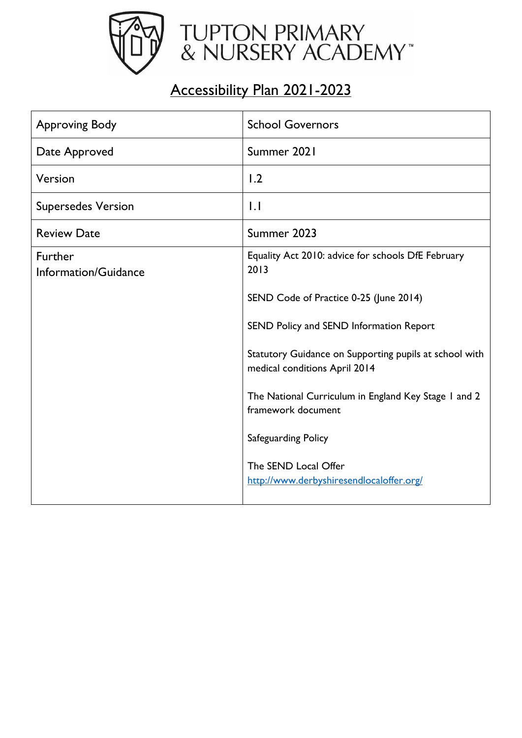

## Accessibility Plan 2021-2023

| <b>Approving Body</b>                  | <b>School Governors</b>                                                                 |
|----------------------------------------|-----------------------------------------------------------------------------------------|
| Date Approved                          | Summer 2021                                                                             |
| Version                                | 1.2                                                                                     |
| <b>Supersedes Version</b>              | $  \cdot  $                                                                             |
| <b>Review Date</b>                     | Summer 2023                                                                             |
| <b>Further</b><br>Information/Guidance | Equality Act 2010: advice for schools DfE February<br>2013                              |
|                                        | SEND Code of Practice 0-25 (June 2014)                                                  |
|                                        | SEND Policy and SEND Information Report                                                 |
|                                        | Statutory Guidance on Supporting pupils at school with<br>medical conditions April 2014 |
|                                        | The National Curriculum in England Key Stage 1 and 2<br>framework document              |
|                                        | Safeguarding Policy                                                                     |
|                                        | The SEND Local Offer<br>http://www.derbyshiresendlocaloffer.org/                        |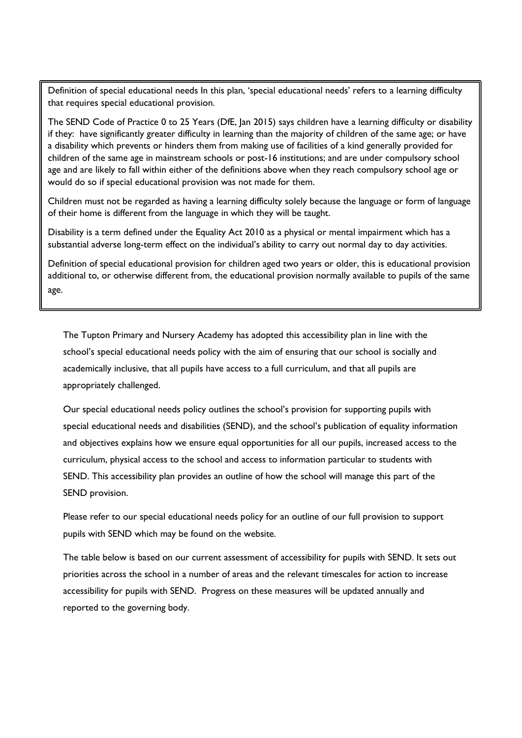Definition of special educational needs In this plan, 'special educational needs' refers to a learning difficulty that requires special educational provision.

The SEND Code of Practice 0 to 25 Years (DfE, Jan 2015) says children have a learning difficulty or disability if they: have significantly greater difficulty in learning than the majority of children of the same age; or have a disability which prevents or hinders them from making use of facilities of a kind generally provided for children of the same age in mainstream schools or post-16 institutions; and are under compulsory school age and are likely to fall within either of the definitions above when they reach compulsory school age or would do so if special educational provision was not made for them.

Children must not be regarded as having a learning difficulty solely because the language or form of language of their home is different from the language in which they will be taught.

Disability is a term defined under the Equality Act 2010 as a physical or mental impairment which has a substantial adverse long-term effect on the individual's ability to carry out normal day to day activities.

Definition of special educational provision for children aged two years or older, this is educational provision additional to, or otherwise different from, the educational provision normally available to pupils of the same age.

The Tupton Primary and Nursery Academy has adopted this accessibility plan in line with the school's special educational needs policy with the aim of ensuring that our school is socially and academically inclusive, that all pupils have access to a full curriculum, and that all pupils are appropriately challenged.

Our special educational needs policy outlines the school's provision for supporting pupils with special educational needs and disabilities (SEND), and the school's publication of equality information and objectives explains how we ensure equal opportunities for all our pupils, increased access to the curriculum, physical access to the school and access to information particular to students with SEND. This accessibility plan provides an outline of how the school will manage this part of the SEND provision.

Please refer to our special educational needs policy for an outline of our full provision to support pupils with SEND which may be found on the website.

The table below is based on our current assessment of accessibility for pupils with SEND. It sets out priorities across the school in a number of areas and the relevant timescales for action to increase accessibility for pupils with SEND. Progress on these measures will be updated annually and reported to the governing body.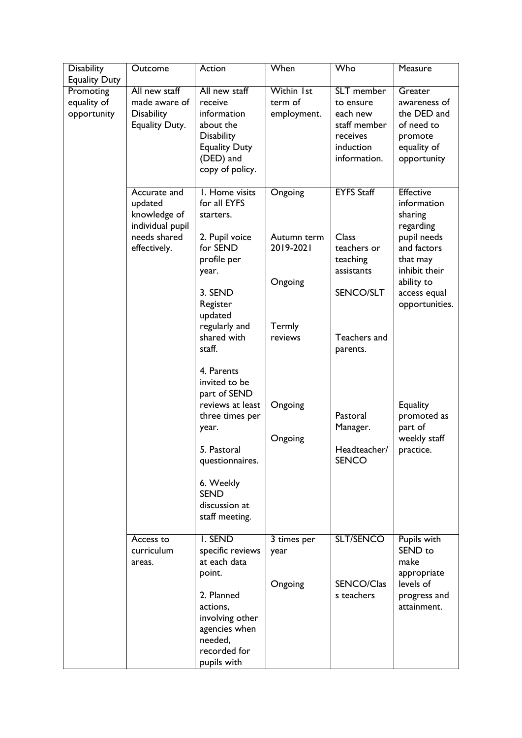| <b>Disability</b>                                               | Outcome                                                                                     | Action                                                                                                                                                                                       | When                                                                | Who                                                                                                          | Measure                                                                                                                                                            |
|-----------------------------------------------------------------|---------------------------------------------------------------------------------------------|----------------------------------------------------------------------------------------------------------------------------------------------------------------------------------------------|---------------------------------------------------------------------|--------------------------------------------------------------------------------------------------------------|--------------------------------------------------------------------------------------------------------------------------------------------------------------------|
| <b>Equality Duty</b><br>Promoting<br>equality of<br>opportunity | All new staff<br>made aware of<br><b>Disability</b><br>Equality Duty.                       | All new staff<br>receive<br>information<br>about the<br>Disability<br><b>Equality Duty</b><br>(DED) and<br>copy of policy.                                                                   | Within 1st<br>term of<br>employment.                                | SLT member<br>to ensure<br>each new<br>staff member<br>receives<br>induction<br>information.                 | Greater<br>awareness of<br>the DED and<br>of need to<br>promote<br>equality of<br>opportunity                                                                      |
|                                                                 | Accurate and<br>updated<br>knowledge of<br>individual pupil<br>needs shared<br>effectively. | I. Home visits<br>for all EYFS<br>starters.<br>2. Pupil voice<br>for SEND<br>profile per<br>year.<br>3. SEND<br>Register<br>updated<br>regularly and<br>shared with<br>staff.                | Ongoing<br>Autumn term<br>2019-2021<br>Ongoing<br>Termly<br>reviews | <b>EYFS Staff</b><br>Class<br>teachers or<br>teaching<br>assistants<br>SENCO/SLT<br>Teachers and<br>parents. | <b>Effective</b><br>information<br>sharing<br>regarding<br>pupil needs<br>and factors<br>that may<br>inhibit their<br>ability to<br>access equal<br>opportunities. |
|                                                                 |                                                                                             | 4. Parents<br>invited to be<br>part of SEND<br>reviews at least<br>three times per<br>year.<br>5. Pastoral<br>questionnaires.<br>6. Weekly<br><b>SEND</b><br>discussion at<br>staff meeting. | Ongoing<br>Ongoing                                                  | Pastoral<br>Manager.<br>Headteacher/<br><b>SENCO</b>                                                         | <b>Equality</b><br>promoted as<br>part of<br>weekly staff<br>practice.                                                                                             |
|                                                                 | Access to<br>curriculum<br>areas.                                                           | I. SEND<br>specific reviews<br>at each data<br>point.<br>2. Planned<br>actions,<br>involving other<br>agencies when<br>needed,<br>recorded for<br>pupils with                                | 3 times per<br>year<br>Ongoing                                      | SLT/SENCO<br>SENCO/Clas<br>s teachers                                                                        | Pupils with<br>SEND to<br>make<br>appropriate<br>levels of<br>progress and<br>attainment.                                                                          |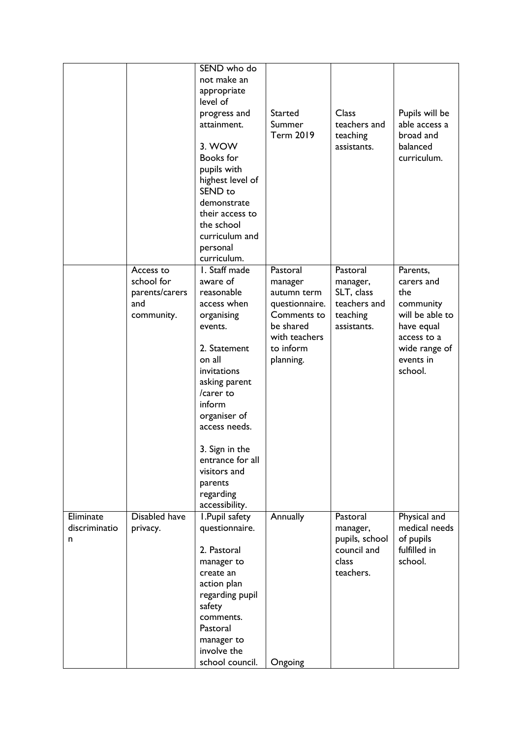|                                 |                                                                | SEND who do<br>not make an<br>appropriate<br>level of<br>progress and<br>attainment.<br>3. WOW<br><b>Books</b> for<br>pupils with<br>highest level of<br>SEND <sub>to</sub><br>demonstrate<br>their access to<br>the school<br>curriculum and<br>personal<br>curriculum.                          | <b>Started</b><br>Summer<br><b>Term 2019</b>                                                                                | Class<br>teachers and<br>teaching<br>assistants.                              | Pupils will be<br>able access a<br>broad and<br>balanced<br>curriculum.                                                             |
|---------------------------------|----------------------------------------------------------------|---------------------------------------------------------------------------------------------------------------------------------------------------------------------------------------------------------------------------------------------------------------------------------------------------|-----------------------------------------------------------------------------------------------------------------------------|-------------------------------------------------------------------------------|-------------------------------------------------------------------------------------------------------------------------------------|
|                                 | Access to<br>school for<br>parents/carers<br>and<br>community. | I. Staff made<br>aware of<br>reasonable<br>access when<br>organising<br>events.<br>2. Statement<br>on all<br>invitations<br>asking parent<br>/carer to<br>inform<br>organiser of<br>access needs.<br>3. Sign in the<br>entrance for all<br>visitors and<br>parents<br>regarding<br>accessibility. | Pastoral<br>manager<br>autumn term<br>questionnaire.<br>Comments to<br>be shared<br>with teachers<br>to inform<br>planning. | Pastoral<br>manager,<br>SLT, class<br>teachers and<br>teaching<br>assistants. | Parents,<br>carers and<br>the<br>community<br>will be able to<br>have equal<br>access to a<br>wide range of<br>events in<br>school. |
| Eliminate<br>discriminatio<br>n | Disabled have<br>privacy.                                      | I. Pupil safety<br>questionnaire.<br>2. Pastoral<br>manager to<br>create an<br>action plan<br>regarding pupil<br>safety<br>comments.<br>Pastoral<br>manager to<br>involve the<br>school council.                                                                                                  | Annually<br>Ongoing                                                                                                         | Pastoral<br>manager,<br>pupils, school<br>council and<br>class<br>teachers.   | Physical and<br>medical needs<br>of pupils<br>fulfilled in<br>school.                                                               |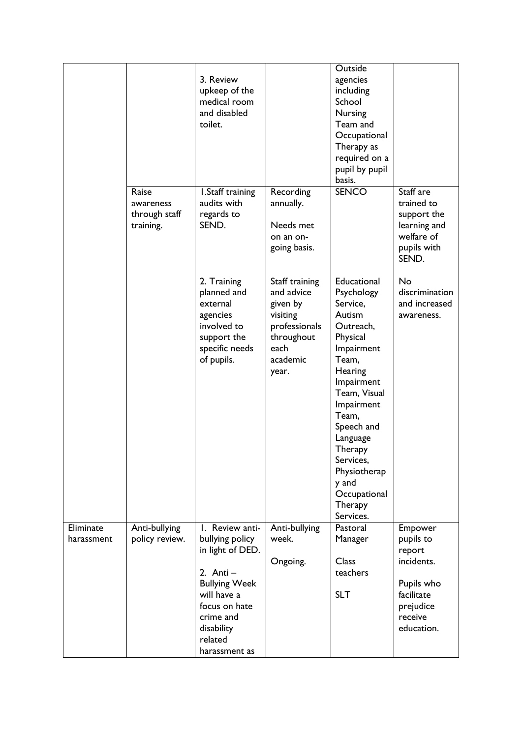|                         |                                                  | 3. Review<br>upkeep of the<br>medical room<br>and disabled<br>toilet.                                                                          |                                                                                                                  | Outside<br>agencies<br>including<br>School<br>Nursing<br>Team and<br>Occupational<br>Therapy as<br>required on a<br>pupil by pupil<br>basis.                                                                                                                                       |                                                                                              |
|-------------------------|--------------------------------------------------|------------------------------------------------------------------------------------------------------------------------------------------------|------------------------------------------------------------------------------------------------------------------|------------------------------------------------------------------------------------------------------------------------------------------------------------------------------------------------------------------------------------------------------------------------------------|----------------------------------------------------------------------------------------------|
|                         | Raise<br>awareness<br>through staff<br>training. | I.Staff training<br>audits with<br>regards to<br>SEND.                                                                                         | Recording<br>annually.<br>Needs met<br>on an on-<br>going basis.                                                 | <b>SENCO</b>                                                                                                                                                                                                                                                                       | Staff are<br>trained to<br>support the<br>learning and<br>welfare of<br>pupils with<br>SEND. |
|                         |                                                  | 2. Training<br>planned and<br>external<br>agencies<br>involved to<br>support the<br>specific needs<br>of pupils.                               | Staff training<br>and advice<br>given by<br>visiting<br>professionals<br>throughout<br>each<br>academic<br>year. | Educational<br>Psychology<br>Service,<br>Autism<br>Outreach,<br>Physical<br>Impairment<br>Team,<br>Hearing<br>Impairment<br>Team, Visual<br>Impairment<br>Team,<br>Speech and<br>Language<br>Therapy<br>Services,<br>Physiotherap<br>y and<br>Occupational<br>Therapy<br>Services. | <b>No</b><br>discrimination<br>and increased<br>awareness.                                   |
| Eliminate<br>harassment | Anti-bullying<br>policy review.                  | I. Review anti-<br>bullying policy                                                                                                             | Anti-bullying<br>week.                                                                                           | Pastoral<br>Manager                                                                                                                                                                                                                                                                | Empower<br>pupils to                                                                         |
|                         |                                                  | in light of DED.<br>2. Anti $-$<br><b>Bullying Week</b><br>will have a<br>focus on hate<br>crime and<br>disability<br>related<br>harassment as | Ongoing.                                                                                                         | <b>Class</b><br>teachers<br><b>SLT</b>                                                                                                                                                                                                                                             | report<br>incidents.<br>Pupils who<br>facilitate<br>prejudice<br>receive<br>education.       |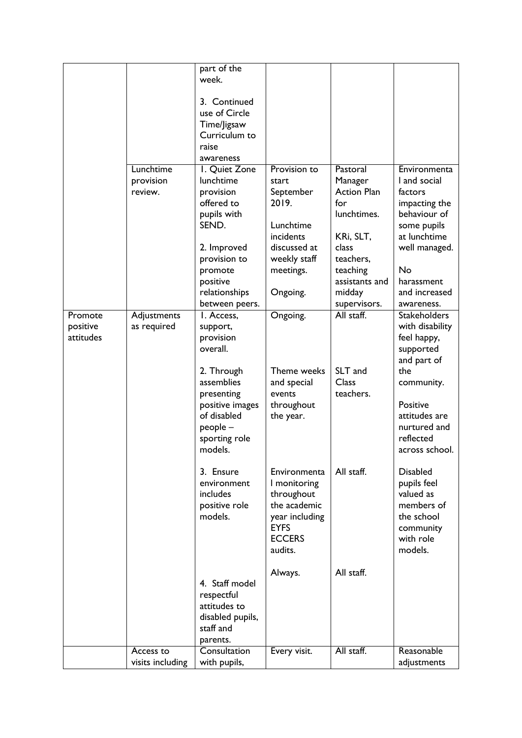|           |                  | part of the      |                |                    |                     |
|-----------|------------------|------------------|----------------|--------------------|---------------------|
|           |                  | week.            |                |                    |                     |
|           |                  |                  |                |                    |                     |
|           |                  | 3. Continued     |                |                    |                     |
|           |                  | use of Circle    |                |                    |                     |
|           |                  | Time/Jigsaw      |                |                    |                     |
|           |                  | Curriculum to    |                |                    |                     |
|           |                  | raise            |                |                    |                     |
|           |                  | awareness        |                |                    |                     |
|           | Lunchtime        | I. Quiet Zone    | Provision to   | Pastoral           | Environmenta        |
|           | provision        | lunchtime        | start          | Manager            | I and social        |
|           | review.          | provision        | September      | <b>Action Plan</b> | factors             |
|           |                  | offered to       | 2019.          | for                | impacting the       |
|           |                  | pupils with      |                | lunchtimes.        | behaviour of        |
|           |                  | SEND.            | Lunchtime      |                    |                     |
|           |                  |                  |                |                    | some pupils         |
|           |                  |                  | incidents      | KRi, SLT,          | at lunchtime        |
|           |                  | 2. Improved      | discussed at   | class              | well managed.       |
|           |                  | provision to     | weekly staff   | teachers,          |                     |
|           |                  | promote          | meetings.      | teaching           | <b>No</b>           |
|           |                  | positive         |                | assistants and     | harassment          |
|           |                  | relationships    | Ongoing.       | midday             | and increased       |
|           |                  | between peers.   |                | supervisors.       | awareness.          |
| Promote   | Adjustments      | I. Access.       | Ongoing.       | All staff.         | <b>Stakeholders</b> |
| positive  | as required      | support,         |                |                    | with disability     |
| attitudes |                  | provision        |                |                    | feel happy,         |
|           |                  | overall.         |                |                    | supported           |
|           |                  |                  |                |                    | and part of         |
|           |                  | 2. Through       | Theme weeks    | SLT and            | the                 |
|           |                  | assemblies       | and special    | <b>Class</b>       | community.          |
|           |                  | presenting       | events         | teachers.          |                     |
|           |                  | positive images  | throughout     |                    | Positive            |
|           |                  | of disabled      | the year.      |                    | attitudes are       |
|           |                  | people -         |                |                    | nurtured and        |
|           |                  | sporting role    |                |                    | reflected           |
|           |                  | models.          |                |                    | across school.      |
|           |                  |                  |                |                    |                     |
|           |                  | 3. Ensure        | Environmenta   | All staff.         | <b>Disabled</b>     |
|           |                  | environment      | I monitoring   |                    | pupils feel         |
|           |                  | includes         | throughout     |                    | valued as           |
|           |                  | positive role    | the academic   |                    | members of          |
|           |                  | models.          | year including |                    | the school          |
|           |                  |                  | <b>EYFS</b>    |                    | community           |
|           |                  |                  | <b>ECCERS</b>  |                    | with role           |
|           |                  |                  | audits.        |                    | models.             |
|           |                  |                  |                |                    |                     |
|           |                  |                  | Always.        | All staff.         |                     |
|           |                  | 4. Staff model   |                |                    |                     |
|           |                  | respectful       |                |                    |                     |
|           |                  | attitudes to     |                |                    |                     |
|           |                  | disabled pupils, |                |                    |                     |
|           |                  | staff and        |                |                    |                     |
|           |                  | parents.         |                |                    |                     |
|           | Access to        | Consultation     | Every visit.   | All staff.         | Reasonable          |
|           | visits including | with pupils,     |                |                    | adjustments         |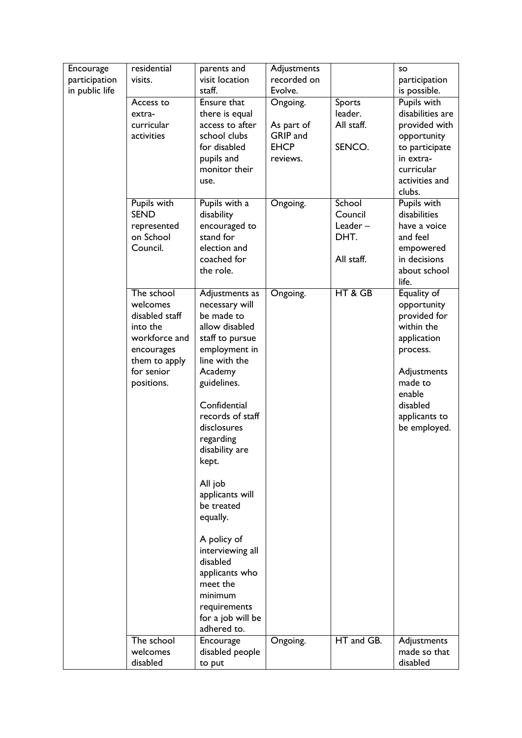| Encourage      | residential    | parents and       | Adjustments |            | <b>SO</b>        |
|----------------|----------------|-------------------|-------------|------------|------------------|
| participation  | visits.        | visit location    | recorded on |            | participation    |
| in public life |                | staff.            | Evolve.     |            | is possible.     |
|                | Access to      | Ensure that       | Ongoing.    | Sports     | Pupils with      |
|                | extra-         | there is equal    |             | leader.    | disabilities are |
|                | curricular     | access to after   | As part of  | All staff. | provided with    |
|                | activities     | school clubs      | GRIP and    |            | opportunity      |
|                |                | for disabled      | <b>EHCP</b> | SENCO.     | to participate   |
|                |                | pupils and        | reviews.    |            | in extra-        |
|                |                | monitor their     |             |            | curricular       |
|                |                | use.              |             |            | activities and   |
|                |                |                   |             |            | clubs.           |
|                | Pupils with    | Pupils with a     | Ongoing.    | School     | Pupils with      |
|                | <b>SEND</b>    | disability        |             | Council    | disabilities     |
|                | represented    | encouraged to     |             | Leader-    | have a voice     |
|                | on School      | stand for         |             | DHT.       | and feel         |
|                | Council.       | election and      |             |            | empowered        |
|                |                | coached for       |             | All staff. | in decisions     |
|                |                | the role.         |             |            | about school     |
|                |                |                   |             |            | life.            |
|                | The school     | Adjustments as    | Ongoing.    | HT & GB    | Equality of      |
|                | welcomes       | necessary will    |             |            | opportunity      |
|                | disabled staff | be made to        |             |            | provided for     |
|                | into the       | allow disabled    |             |            | within the       |
|                | workforce and  | staff to pursue   |             |            | application      |
|                | encourages     | employment in     |             |            | process.         |
|                | them to apply  | line with the     |             |            |                  |
|                | for senior     | Academy           |             |            | Adjustments      |
|                | positions.     | guidelines.       |             |            | made to          |
|                |                | Confidential      |             |            | enable           |
|                |                |                   |             |            | disabled         |
|                |                | records of staff  |             |            | applicants to    |
|                |                | disclosures       |             |            | be employed.     |
|                |                | regarding         |             |            |                  |
|                |                | disability are    |             |            |                  |
|                |                | kept.             |             |            |                  |
|                |                | All job           |             |            |                  |
|                |                | applicants will   |             |            |                  |
|                |                | be treated        |             |            |                  |
|                |                | equally.          |             |            |                  |
|                |                |                   |             |            |                  |
|                |                | A policy of       |             |            |                  |
|                |                | interviewing all  |             |            |                  |
|                |                | disabled          |             |            |                  |
|                |                | applicants who    |             |            |                  |
|                |                | meet the          |             |            |                  |
|                |                | minimum           |             |            |                  |
|                |                | requirements      |             |            |                  |
|                |                | for a job will be |             |            |                  |
|                |                | adhered to.       |             |            |                  |
|                | The school     | Encourage         | Ongoing.    | HT and GB. | Adjustments      |
|                | welcomes       | disabled people   |             |            | made so that     |
|                | disabled       | to put            |             |            | disabled         |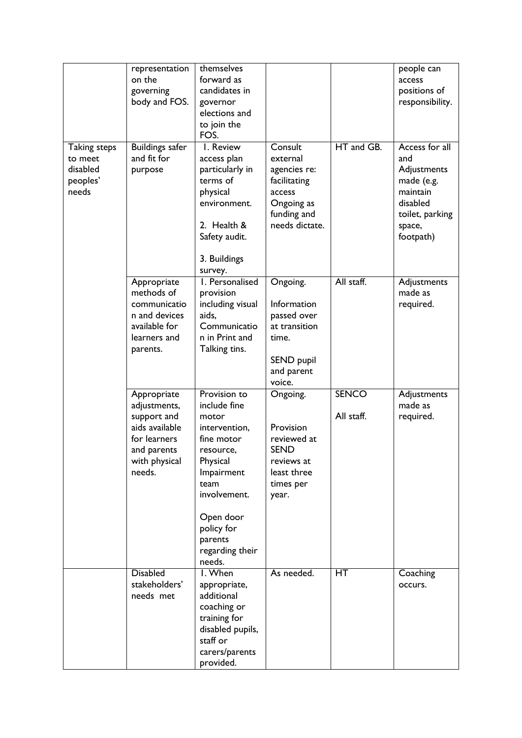| <b>Taking steps</b><br>to meet | representation<br>on the<br>governing<br>body and FOS.<br><b>Buildings safer</b><br>and fit for                        | themselves<br>forward as<br>candidates in<br>governor<br>elections and<br>to join the<br>FOS.<br>I. Review<br>access plan                                                                              | Consult<br>external                                                                                    | HT and GB.                 | people can<br>access<br>positions of<br>responsibility.<br>Access for all<br>and            |
|--------------------------------|------------------------------------------------------------------------------------------------------------------------|--------------------------------------------------------------------------------------------------------------------------------------------------------------------------------------------------------|--------------------------------------------------------------------------------------------------------|----------------------------|---------------------------------------------------------------------------------------------|
| disabled<br>peoples'<br>needs  | purpose                                                                                                                | particularly in<br>terms of<br>physical<br>environment.<br>2. Health &<br>Safety audit.<br>3. Buildings<br>survey.                                                                                     | agencies re:<br>facilitating<br>access<br>Ongoing as<br>funding and<br>needs dictate.                  |                            | Adjustments<br>made (e.g.<br>maintain<br>disabled<br>toilet, parking<br>space,<br>footpath) |
|                                | Appropriate<br>methods of<br>communicatio<br>n and devices<br>available for<br>learners and<br>parents.                | I. Personalised<br>provision<br>including visual<br>aids,<br>Communicatio<br>n in Print and<br>Talking tins.                                                                                           | Ongoing.<br>Information<br>passed over<br>at transition<br>time.<br>SEND pupil<br>and parent<br>voice. | All staff.                 | Adjustments<br>made as<br>required.                                                         |
|                                | Appropriate<br>adjustments,<br>support and<br>aids available<br>for learners<br>and parents<br>with physical<br>needs. | Provision to<br>include fine<br>motor<br>intervention,<br>fine motor<br>resource,<br>Physical<br>Impairment<br>team<br>involvement.<br>Open door<br>policy for<br>parents<br>regarding their<br>needs. | Ongoing.<br>Provision<br>reviewed at<br><b>SEND</b><br>reviews at<br>least three<br>times per<br>year. | <b>SENCO</b><br>All staff. | Adjustments<br>made as<br>required.                                                         |
|                                | <b>Disabled</b><br>stakeholders'<br>needs met                                                                          | I. When<br>appropriate,<br>additional<br>coaching or<br>training for<br>disabled pupils,<br>staff or<br>carers/parents<br>provided.                                                                    | As needed.                                                                                             | HT                         | Coaching<br>occurs.                                                                         |